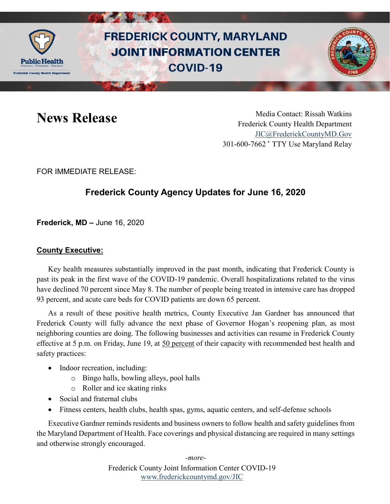

# **FREDERICK COUNTY, MARYLAND JOINT INFORMATION CENTER COVID-19**



News Release Media Contact: Rissah Watkins Frederick County Health Department [JIC@FrederickCountyMD.Gov](mailto:JIC@FrederickCountyMD.Gov) 301-600-7662 • TTY Use Maryland Relay

FOR IMMEDIATE RELEASE:

## **Frederick County Agency Updates for June 16, 2020**

**Frederick, MD –** June 16, 2020

#### **County Executive:**

Key health measures substantially improved in the past month, indicating that Frederick County is past its peak in the first wave of the COVID-19 pandemic. Overall hospitalizations related to the virus have declined 70 percent since May 8. The number of people being treated in intensive care has dropped 93 percent, and acute care beds for COVID patients are down 65 percent.

As a result of these positive health metrics, County Executive Jan Gardner has announced that Frederick County will fully advance the next phase of Governor Hogan's reopening plan, as most neighboring counties are doing. The following businesses and activities can resume in Frederick County effective at 5 p.m. on Friday, June 19, at 50 percent of their capacity with recommended best health and safety practices:

- Indoor recreation, including:
	- o Bingo halls, bowling alleys, pool halls
	- o Roller and ice skating rinks
- Social and fraternal clubs
- Fitness centers, health clubs, health spas, gyms, aquatic centers, and self-defense schools

Executive Gardner reminds residents and business owners to follow health and safety guidelines from the Maryland Department of Health. Face coverings and physical distancing are required in many settings and otherwise strongly encouraged.

> Frederick County Joint Information Center COVID-19 [www.frederickcountymd.gov/JIC](https://frederickcountymd.gov/JIC) *-more-*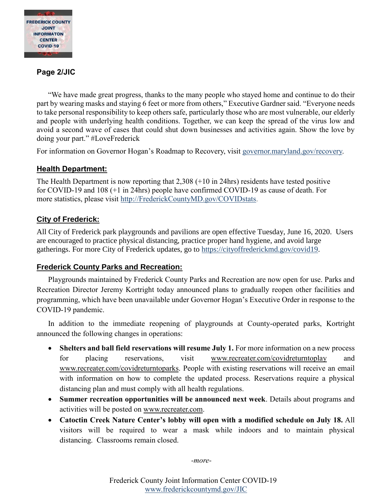

### **Page 2/JIC**

"We have made great progress, thanks to the many people who stayed home and continue to do their part by wearing masks and staying 6 feet or more from others," Executive Gardner said. "Everyone needs to take personal responsibility to keep others safe, particularly those who are most vulnerable, our elderly and people with underlying health conditions. Together, we can keep the spread of the virus low and avoid a second wave of cases that could shut down businesses and activities again. Show the love by doing your part." #LoveFrederick

For information on Governor Hogan's Roadmap to Recovery, visit [governor.maryland.gov/recovery.](https://governor.maryland.gov/recovery/)

#### **Health Department:**

The Health Department is now reporting that 2,308 (+10 in 24hrs) residents have tested positive for COVID-19 and 108 (+1 in 24hrs) people have confirmed COVID-19 as cause of death. For more statistics, please visit [http://FrederickCountyMD.gov/COVIDstats.](http://frederickcountymd.gov/COVIDstats)

#### **City of Frederick:**

All City of Frederick park playgrounds and pavilions are open effective Tuesday, June 16, 2020. Users are encouraged to practice physical distancing, practice proper hand hygiene, and avoid large gatherings. For more City of Frederick updates, go to [https://cityoffrederickmd.gov/covid19.](https://cityoffrederickmd.gov/covid19)

#### **Frederick County Parks and Recreation:**

Playgrounds maintained by Frederick County Parks and Recreation are now open for use. Parks and Recreation Director Jeremy Kortright today announced plans to gradually reopen other facilities and programming, which have been unavailable under Governor Hogan's Executive Order in response to the COVID-19 pandemic.

In addition to the immediate reopening of playgrounds at County-operated parks, Kortright announced the following changes in operations:

- **Shelters and ball field reservations will resume July 1.** For more information on a new process for placing reservations, visit [www.recreater.com/covidreturntoplay](http://www.recreater.com/covidreturntoplay) and [www.recreater.com/covidreturntoparks.](http://www.recreater.com/covidreturntoparks) People with existing reservations will receive an email with information on how to complete the updated process. Reservations require a physical distancing plan and must comply with all health regulations.
- **Summer recreation opportunities will be announced next week**. Details about programs and activities will be posted on [www.recreater.com.](http://www.recreater.com/)
- **Catoctin Creek Nature Center's lobby will open with a modified schedule on July 18.** All visitors will be required to wear a mask while indoors and to maintain physical distancing. Classrooms remain closed.

*-more-*